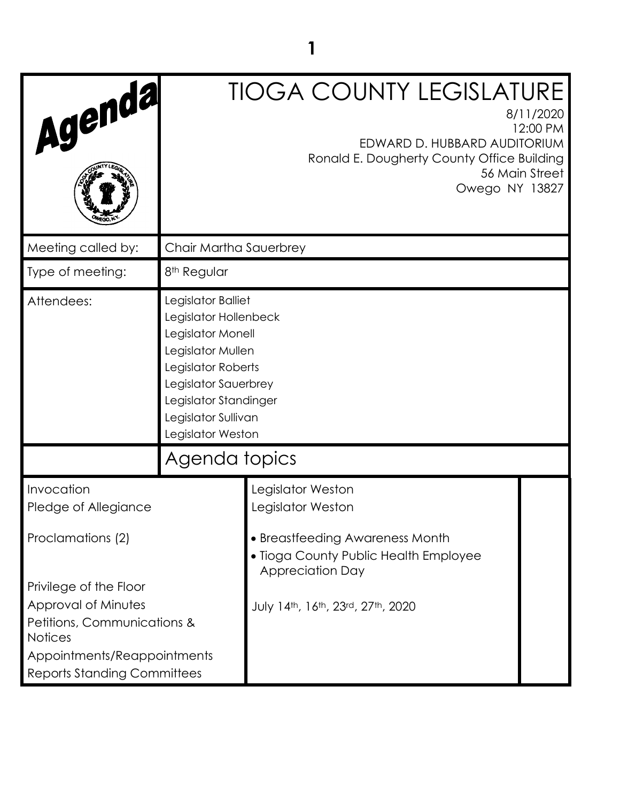| Agenda                                                                                                                                                              |                                                                                                                                                                                                          | <b>TIOGA COUNTY LEGISLATURE</b><br>8/11/2020<br>EDWARD D. HUBBARD AUDITORIUM<br>Ronald E. Dougherty County Office Building<br>56 Main Street<br>Owego NY 13827 | 12:00 PM |
|---------------------------------------------------------------------------------------------------------------------------------------------------------------------|----------------------------------------------------------------------------------------------------------------------------------------------------------------------------------------------------------|----------------------------------------------------------------------------------------------------------------------------------------------------------------|----------|
| Meeting called by:                                                                                                                                                  | Chair Martha Sauerbrey                                                                                                                                                                                   |                                                                                                                                                                |          |
| Type of meeting:                                                                                                                                                    | 8 <sup>th</sup> Regular                                                                                                                                                                                  |                                                                                                                                                                |          |
| Attendees:                                                                                                                                                          | Legislator Balliet<br>Legislator Hollenbeck<br>Legislator Monell<br>Legislator Mullen<br>Legislator Roberts<br>Legislator Sauerbrey<br>Legislator Standinger<br>Legislator Sullivan<br>Legislator Weston |                                                                                                                                                                |          |
|                                                                                                                                                                     | Agenda topics                                                                                                                                                                                            |                                                                                                                                                                |          |
| Invocation<br>Pledge of Allegiance<br>Proclamations (2)                                                                                                             |                                                                                                                                                                                                          | Legislator Weston<br>Legislator Weston<br>• Breastfeeding Awareness Month<br>• Tioga County Public Health Employee<br><b>Appreciation Day</b>                  |          |
| Privilege of the Floor<br>Approval of Minutes<br>Petitions, Communications &<br><b>Notices</b><br>Appointments/Reappointments<br><b>Reports Standing Committees</b> |                                                                                                                                                                                                          | July 14th, 16th, 23rd, 27th, 2020                                                                                                                              |          |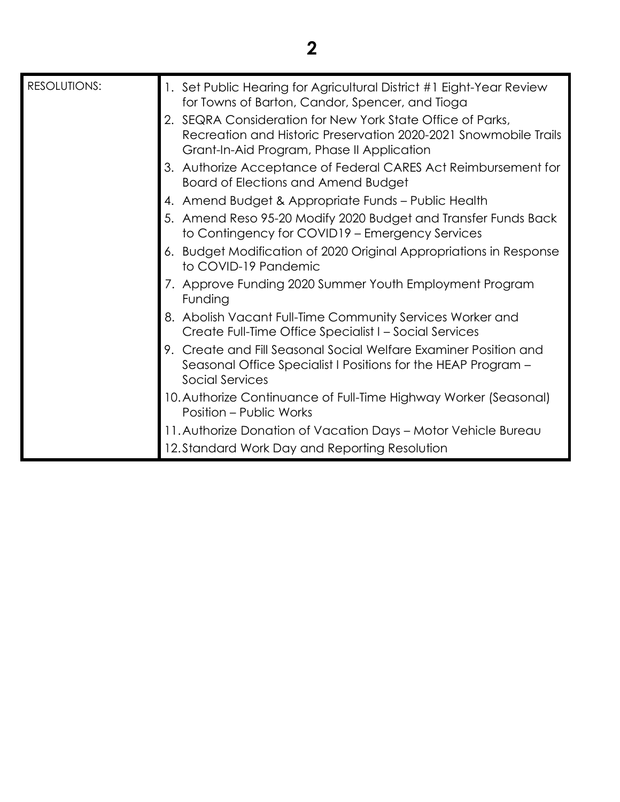| <b>RESOLUTIONS:</b> | 1. Set Public Hearing for Agricultural District #1 Eight-Year Review<br>for Towns of Barton, Candor, Spencer, and Tioga                                                      |
|---------------------|------------------------------------------------------------------------------------------------------------------------------------------------------------------------------|
|                     | 2. SEQRA Consideration for New York State Office of Parks,<br>Recreation and Historic Preservation 2020-2021 Snowmobile Trails<br>Grant-In-Aid Program, Phase II Application |
|                     | 3. Authorize Acceptance of Federal CARES Act Reimbursement for<br>Board of Elections and Amend Budget                                                                        |
|                     | 4. Amend Budget & Appropriate Funds - Public Health                                                                                                                          |
|                     | 5. Amend Reso 95-20 Modify 2020 Budget and Transfer Funds Back<br>to Contingency for COVID19 - Emergency Services                                                            |
|                     | 6. Budget Modification of 2020 Original Appropriations in Response<br>to COVID-19 Pandemic                                                                                   |
|                     | 7. Approve Funding 2020 Summer Youth Employment Program<br>Funding                                                                                                           |
|                     | 8. Abolish Vacant Full-Time Community Services Worker and<br>Create Full-Time Office Specialist I – Social Services                                                          |
|                     | 9. Create and Fill Seasonal Social Welfare Examiner Position and<br>Seasonal Office Specialist I Positions for the HEAP Program -<br><b>Social Services</b>                  |
|                     | 10. Authorize Continuance of Full-Time Highway Worker (Seasonal)<br>Position – Public Works                                                                                  |
|                     | 11. Authorize Donation of Vacation Days – Motor Vehicle Bureau                                                                                                               |
|                     | 12. Standard Work Day and Reporting Resolution                                                                                                                               |

**2**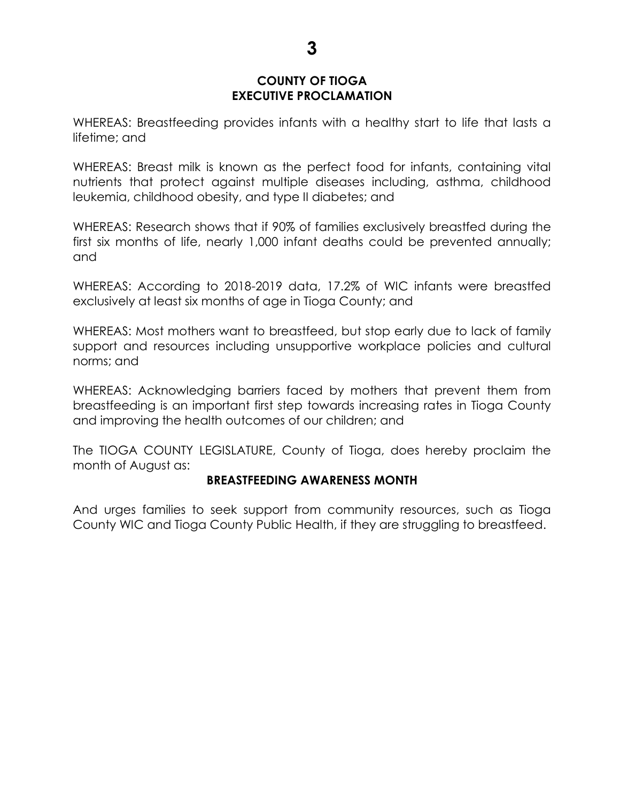# **COUNTY OF TIOGA EXECUTIVE PROCLAMATION**

WHEREAS: Breastfeeding provides infants with a healthy start to life that lasts a lifetime; and

WHEREAS: Breast milk is known as the perfect food for infants, containing vital nutrients that protect against multiple diseases including, asthma, childhood leukemia, childhood obesity, and type II diabetes; and

WHEREAS: Research shows that if 90% of families exclusively breastfed during the first six months of life, nearly 1,000 infant deaths could be prevented annually; and

WHEREAS: According to 2018-2019 data, 17.2% of WIC infants were breastfed exclusively at least six months of age in Tioga County; and

WHEREAS: Most mothers want to breastfeed, but stop early due to lack of family support and resources including unsupportive workplace policies and cultural norms; and

WHEREAS: Acknowledging barriers faced by mothers that prevent them from breastfeeding is an important first step towards increasing rates in Tioga County and improving the health outcomes of our children; and

The TIOGA COUNTY LEGISLATURE, County of Tioga, does hereby proclaim the month of August as:

# **BREASTFEEDING AWARENESS MONTH**

And urges families to seek support from community resources, such as Tioga County WIC and Tioga County Public Health, if they are struggling to breastfeed.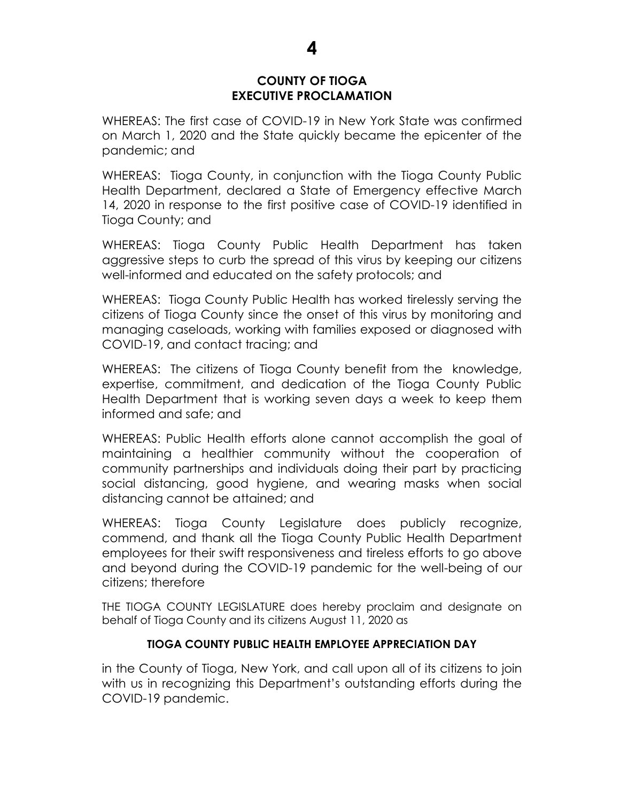## **COUNTY OF TIOGA EXECUTIVE PROCLAMATION**

WHEREAS: The first case of COVID-19 in New York State was confirmed on March 1, 2020 and the State quickly became the epicenter of the pandemic; and

WHEREAS: Tioga County, in conjunction with the Tioga County Public Health Department, declared a State of Emergency effective March 14, 2020 in response to the first positive case of COVID-19 identified in Tioga County; and

WHEREAS: Tioga County Public Health Department has taken aggressive steps to curb the spread of this virus by keeping our citizens well-informed and educated on the safety protocols; and

WHEREAS: Tioga County Public Health has worked tirelessly serving the citizens of Tioga County since the onset of this virus by monitoring and managing caseloads, working with families exposed or diagnosed with COVID-19, and contact tracing; and

WHEREAS: The citizens of Tioga County benefit from the knowledge, expertise, commitment, and dedication of the Tioga County Public Health Department that is working seven days a week to keep them informed and safe; and

WHEREAS: Public Health efforts alone cannot accomplish the goal of maintaining a healthier community without the cooperation of community partnerships and individuals doing their part by practicing social distancing, good hygiene, and wearing masks when social distancing cannot be attained; and

WHEREAS: Tioga County Legislature does publicly recognize, commend, and thank all the Tioga County Public Health Department employees for their swift responsiveness and tireless efforts to go above and beyond during the COVID-19 pandemic for the well-being of our citizens; therefore

THE TIOGA COUNTY LEGISLATURE does hereby proclaim and designate on behalf of Tioga County and its citizens August 11, 2020 as

# **TIOGA COUNTY PUBLIC HEALTH EMPLOYEE APPRECIATION DAY**

in the County of Tioga, New York, and call upon all of its citizens to join with us in recognizing this Department's outstanding efforts during the COVID-19 pandemic.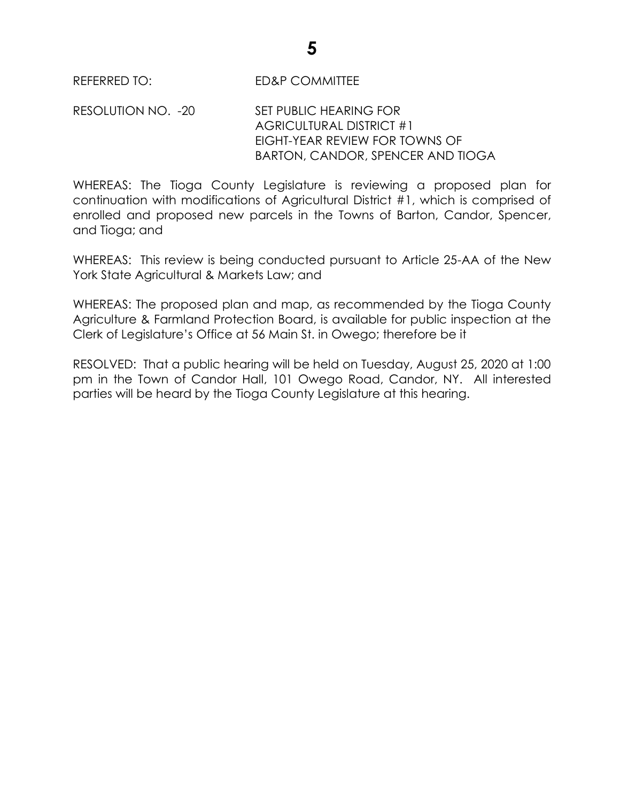REFERRED TO: ED&P COMMITTEE

RESOLUTION NO. -20 SET PUBLIC HEARING FOR AGRICULTURAL DISTRICT #1 EIGHT-YEAR REVIEW FOR TOWNS OF BARTON, CANDOR, SPENCER AND TIOGA

WHEREAS: The Tioga County Legislature is reviewing a proposed plan for continuation with modifications of Agricultural District #1, which is comprised of enrolled and proposed new parcels in the Towns of Barton, Candor, Spencer, and Tioga; and

WHEREAS: This review is being conducted pursuant to Article 25-AA of the New York State Agricultural & Markets Law; and

WHEREAS: The proposed plan and map, as recommended by the Tioga County Agriculture & Farmland Protection Board, is available for public inspection at the Clerk of Legislature's Office at 56 Main St. in Owego; therefore be it

RESOLVED: That a public hearing will be held on Tuesday, August 25, 2020 at 1:00 pm in the Town of Candor Hall, 101 Owego Road, Candor, NY. All interested parties will be heard by the Tioga County Legislature at this hearing.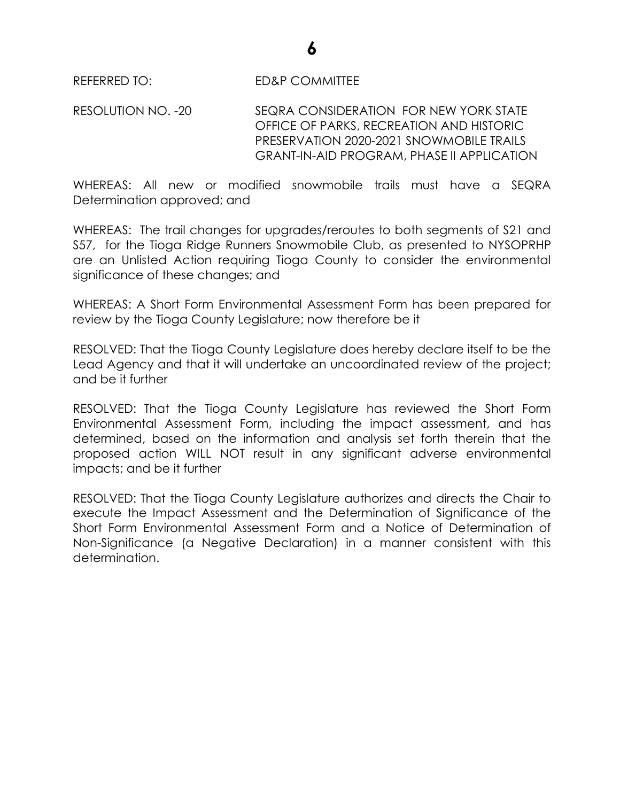REFERRED TO: ED&P COMMITTEE

RESOLUTION NO. -20 SEQRA CONSIDERATION FOR NEW YORK STATE OFFICE OF PARKS, RECREATION AND HISTORIC PRESERVATION 2020-2021 SNOWMOBILE TRAILS GRANT-IN-AID PROGRAM, PHASE II APPLICATION

WHEREAS: All new or modified snowmobile trails must have a SEQRA Determination approved; and

WHEREAS: The trail changes for upgrades/reroutes to both segments of S21 and S57, for the Tioga Ridge Runners Snowmobile Club, as presented to NYSOPRHP are an Unlisted Action requiring Tioga County to consider the environmental significance of these changes; and

WHEREAS: A Short Form Environmental Assessment Form has been prepared for review by the Tioga County Legislature; now therefore be it

RESOLVED: That the Tioga County Legislature does hereby declare itself to be the Lead Agency and that it will undertake an uncoordinated review of the project; and be it further

RESOLVED: That the Tioga County Legislature has reviewed the Short Form Environmental Assessment Form, including the impact assessment, and has determined, based on the information and analysis set forth therein that the proposed action WILL NOT result in any significant adverse environmental impacts; and be it further

RESOLVED: That the Tioga County Legislature authorizes and directs the Chair to execute the Impact Assessment and the Determination of Significance of the Short Form Environmental Assessment Form and a Notice of Determination of Non-Significance (a Negative Declaration) in a manner consistent with this determination.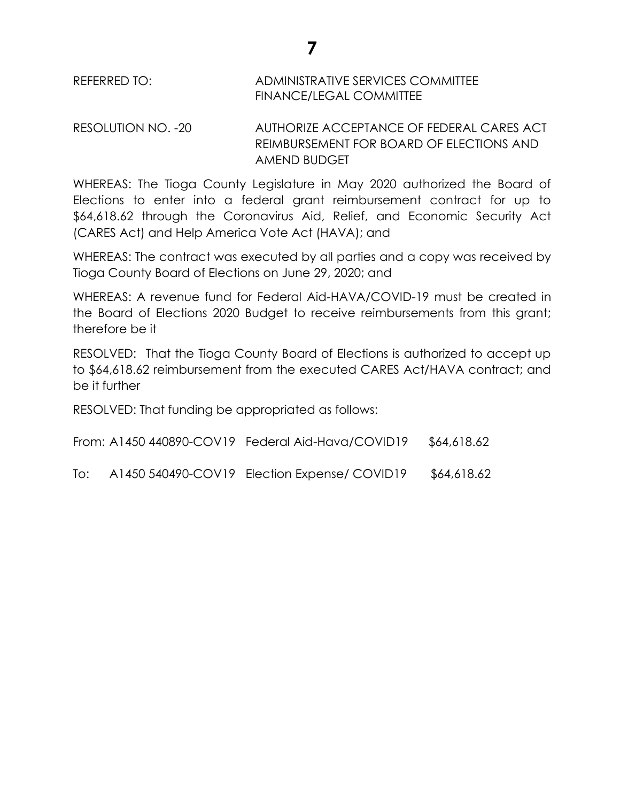# REFERRED TO: ADMINISTRATIVE SERVICES COMMITTEE FINANCE/LEGAL COMMITTEE

RESOLUTION NO. -20 AUTHORIZE ACCEPTANCE OF FEDERAL CARES ACT REIMBURSEMENT FOR BOARD OF ELECTIONS AND AMEND BUDGET

WHEREAS: The Tioga County Legislature in May 2020 authorized the Board of Elections to enter into a federal grant reimbursement contract for up to \$64,618.62 through the Coronavirus Aid, Relief, and Economic Security Act (CARES Act) and Help America Vote Act (HAVA); and

WHEREAS: The contract was executed by all parties and a copy was received by Tioga County Board of Elections on June 29, 2020; and

WHEREAS: A revenue fund for Federal Aid-HAVA/COVID-19 must be created in the Board of Elections 2020 Budget to receive reimbursements from this grant; therefore be it

RESOLVED: That the Tioga County Board of Elections is authorized to accept up to \$64,618.62 reimbursement from the executed CARES Act/HAVA contract; and be it further

RESOLVED: That funding be appropriated as follows:

From: A1450 440890-COV19 Federal Aid-Hava/COVID19 \$64,618.62

To: A1450 540490-COV19 Election Expense/ COVID19 \$64,618.62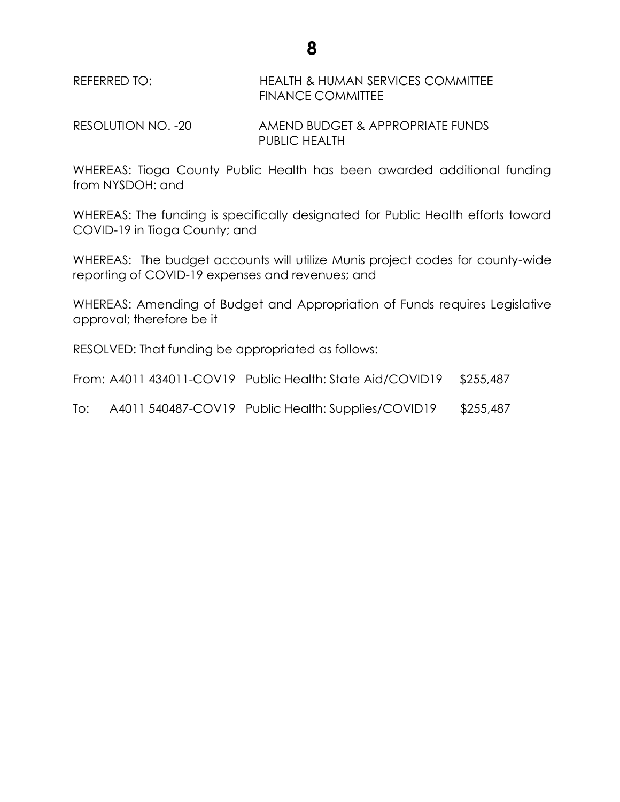REFERRED TO: HEALTH & HUMAN SERVICES COMMITTEE FINANCE COMMITTEE

RESOLUTION NO. -20 AMEND BUDGET & APPROPRIATE FUNDS PUBLIC HEALTH

WHEREAS: Tioga County Public Health has been awarded additional funding from NYSDOH: and

WHEREAS: The funding is specifically designated for Public Health efforts toward COVID-19 in Tioga County; and

WHEREAS: The budget accounts will utilize Munis project codes for county-wide reporting of COVID-19 expenses and revenues; and

WHEREAS: Amending of Budget and Appropriation of Funds requires Legislative approval; therefore be it

RESOLVED: That funding be appropriated as follows:

| From: A4011 434011-COV19 Public Health: State Aid/COVID19 \$255,487 |  |
|---------------------------------------------------------------------|--|
|                                                                     |  |

To: A4011 540487-COV19 Public Health: Supplies/COVID19 \$255,487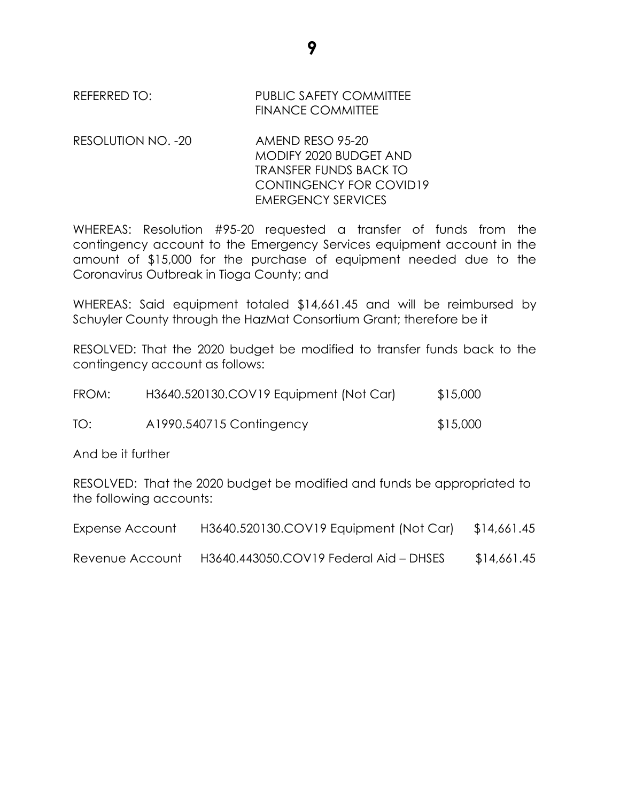REFERRED TO: PUBLIC SAFETY COMMITTEE FINANCE COMMITTEE

RESOLUTION NO. -20 AMEND RESO 95-20

MODIFY 2020 BUDGET AND TRANSFER FUNDS BACK TO CONTINGENCY FOR COVID19 EMERGENCY SERVICES

WHEREAS: Resolution #95-20 requested a transfer of funds from the contingency account to the Emergency Services equipment account in the amount of \$15,000 for the purchase of equipment needed due to the Coronavirus Outbreak in Tioga County; and

WHEREAS: Said equipment totaled \$14,661.45 and will be reimbursed by Schuyler County through the HazMat Consortium Grant; therefore be it

RESOLVED: That the 2020 budget be modified to transfer funds back to the contingency account as follows:

| FROM: | H3640.520130.COV19 Equipment (Not Car) | \$15,000 |
|-------|----------------------------------------|----------|
| TO:   | A1990.540715 Contingency               | \$15,000 |

And be it further

RESOLVED: That the 2020 budget be modified and funds be appropriated to the following accounts:

| Expense Account | H3640.520130.COV19 Equipment (Not Car) \$14,661.45 |             |
|-----------------|----------------------------------------------------|-------------|
| Revenue Account | H3640.443050.COV19 Federal Aid - DHSES             | \$14,661.45 |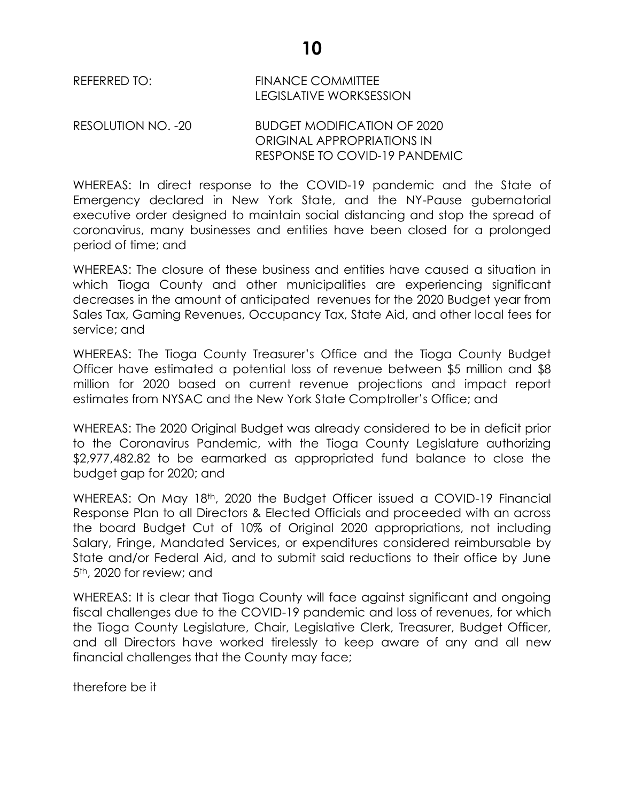REFERRED TO: FINANCE COMMITTEE LEGISLATIVE WORKSESSION

RESOLUTION NO. -20 BUDGET MODIFICATION OF 2020 ORIGINAL APPROPRIATIONS IN RESPONSE TO COVID-19 PANDEMIC

WHEREAS: In direct response to the COVID-19 pandemic and the State of Emergency declared in New York State, and the NY-Pause gubernatorial executive order designed to maintain social distancing and stop the spread of coronavirus, many businesses and entities have been closed for a prolonged period of time; and

WHEREAS: The closure of these business and entities have caused a situation in which Tioga County and other municipalities are experiencing significant decreases in the amount of anticipated revenues for the 2020 Budget year from Sales Tax, Gaming Revenues, Occupancy Tax, State Aid, and other local fees for service; and

WHEREAS: The Tioga County Treasurer's Office and the Tioga County Budget Officer have estimated a potential loss of revenue between \$5 million and \$8 million for 2020 based on current revenue projections and impact report estimates from NYSAC and the New York State Comptroller's Office; and

WHEREAS: The 2020 Original Budget was already considered to be in deficit prior to the Coronavirus Pandemic, with the Tioga County Legislature authorizing \$2,977,482.82 to be earmarked as appropriated fund balance to close the budget gap for 2020; and

WHEREAS: On May 18<sup>th</sup>, 2020 the Budget Officer issued a COVID-19 Financial Response Plan to all Directors & Elected Officials and proceeded with an across the board Budget Cut of 10% of Original 2020 appropriations, not including Salary, Fringe, Mandated Services, or expenditures considered reimbursable by State and/or Federal Aid, and to submit said reductions to their office by June 5<sup>th</sup>, 2020 for review; and

WHEREAS: It is clear that Tioga County will face against significant and ongoing fiscal challenges due to the COVID-19 pandemic and loss of revenues, for which the Tioga County Legislature, Chair, Legislative Clerk, Treasurer, Budget Officer, and all Directors have worked tirelessly to keep aware of any and all new financial challenges that the County may face;

therefore be it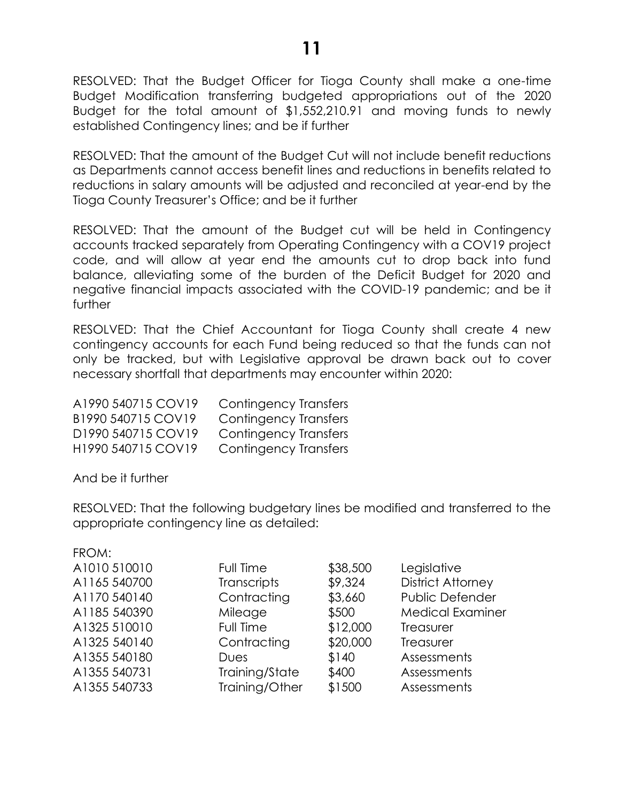RESOLVED: That the Budget Officer for Tioga County shall make a one-time Budget Modification transferring budgeted appropriations out of the 2020 Budget for the total amount of \$1,552,210.91 and moving funds to newly established Contingency lines; and be if further

RESOLVED: That the amount of the Budget Cut will not include benefit reductions as Departments cannot access benefit lines and reductions in benefits related to reductions in salary amounts will be adjusted and reconciled at year-end by the Tioga County Treasurer's Office; and be it further

RESOLVED: That the amount of the Budget cut will be held in Contingency accounts tracked separately from Operating Contingency with a COV19 project code, and will allow at year end the amounts cut to drop back into fund balance, alleviating some of the burden of the Deficit Budget for 2020 and negative financial impacts associated with the COVID-19 pandemic; and be it further

RESOLVED: That the Chief Accountant for Tioga County shall create 4 new contingency accounts for each Fund being reduced so that the funds can not only be tracked, but with Legislative approval be drawn back out to cover necessary shortfall that departments may encounter within 2020:

| A1990 540715 COV19 | Contingency Transfers        |
|--------------------|------------------------------|
| B1990 540715 COV19 | Contingency Transfers        |
| D1990 540715 COV19 | Contingency Transfers        |
| H1990 540715 COV19 | <b>Contingency Transfers</b> |

And be it further

RESOLVED: That the following budgetary lines be modified and transferred to the appropriate contingency line as detailed:

| FROM:        |                    |          |                          |
|--------------|--------------------|----------|--------------------------|
| A1010 510010 | Full Time          | \$38,500 | Legislative              |
| A1165 540700 | <b>Transcripts</b> | \$9,324  | <b>District Attorney</b> |
| A1170 540140 | Contracting        | \$3,660  | Public Defender          |
| A1185 540390 | Mileage            | \$500    | <b>Medical Examiner</b>  |
| A1325 510010 | Full Time          | \$12,000 | Treasurer                |
| A1325 540140 | Contracting        | \$20,000 | Treasurer                |
| A1355 540180 | Dues               | \$140    | Assessments              |
| A1355 540731 | Training/State     | \$400    | Assessments              |
| A1355 540733 | Training/Other     | \$1500   | Assessments              |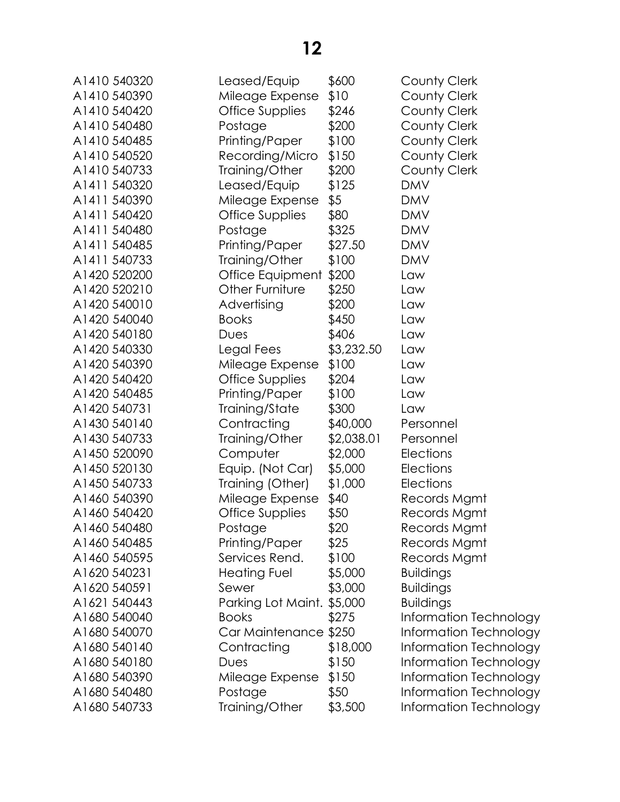| A1410 540320 | Leased/Equip               | \$600      | County Clerk           |
|--------------|----------------------------|------------|------------------------|
| A1410 540390 | Mileage Expense            | \$10       | County Clerk           |
| A1410 540420 | Office Supplies            | \$246      | County Clerk           |
| A1410 540480 | Postage                    | \$200      | County Clerk           |
| A1410 540485 | Printing/Paper             | \$100      | County Clerk           |
| A1410 540520 | Recording/Micro            | \$150      | <b>County Clerk</b>    |
| A1410 540733 | Training/Other             | \$200      | County Clerk           |
| A1411 540320 | Leased/Equip               | \$125      | <b>DMV</b>             |
| A1411 540390 | Mileage Expense            | \$5        | <b>DMV</b>             |
| A1411 540420 | Office Supplies            | \$80       | <b>DMV</b>             |
| A1411 540480 | Postage                    | \$325      | <b>DMV</b>             |
| A1411 540485 | Printing/Paper             | \$27.50    | <b>DMV</b>             |
| A1411 540733 | Training/Other             | \$100      | <b>DMV</b>             |
| A1420 520200 | Office Equipment           | \$200      | Law                    |
| A1420 520210 | Other Furniture            | \$250      | Law                    |
| A1420 540010 | Advertising                | \$200      | Law                    |
| A1420 540040 | <b>Books</b>               | \$450      | Law                    |
| A1420 540180 | Dues                       | \$406      | Law                    |
| A1420 540330 | Legal Fees                 | \$3,232.50 | Law                    |
| A1420 540390 | Mileage Expense            | \$100      | Law                    |
| A1420 540420 | <b>Office Supplies</b>     | \$204      | Law                    |
| A1420 540485 | Printing/Paper             | \$100      | Law                    |
| A1420 540731 | Training/State             | \$300      | Law                    |
| A1430 540140 | Contracting                | \$40,000   | Personnel              |
| A1430 540733 | Training/Other             | \$2,038.01 | Personnel              |
| A1450 520090 | Computer                   | \$2,000    | <b>Elections</b>       |
| A1450 520130 | Equip. (Not Car)           | \$5,000    | <b>Elections</b>       |
| A1450 540733 | Training (Other)           | \$1,000    | Elections              |
| A1460 540390 | Mileage Expense            | \$40       | Records Mgmt           |
| A1460 540420 | Office Supplies            | \$50       | Records Mgmt           |
| A1460 540480 | Postage                    | \$20       | Records Mgmt           |
| A1460 540485 | Printing/Paper             | \$25       | Records Mgmt           |
| A1460 540595 | Services Rend.             | \$100      | Records Mgmt           |
| A1620 540231 | Heating Fuel               | \$5,000    | <b>Buildings</b>       |
| A1620 540591 | Sewer                      | \$3,000    | <b>Buildings</b>       |
| A1621 540443 | Parking Lot Maint. \$5,000 |            | <b>Buildings</b>       |
| A1680 540040 | <b>Books</b>               | \$275      | Information Technology |
| A1680 540070 | Car Maintenance \$250      |            | Information Technology |
| A1680 540140 | Contracting                | \$18,000   | Information Technology |
| A1680 540180 | Dues                       | \$150      | Information Technology |
| A1680 540390 | Mileage Expense            | \$150      | Information Technology |
| A1680 540480 | Postage                    | \$50       | Information Technology |
| A1680 540733 | Training/Other             | \$3,500    | Information Technology |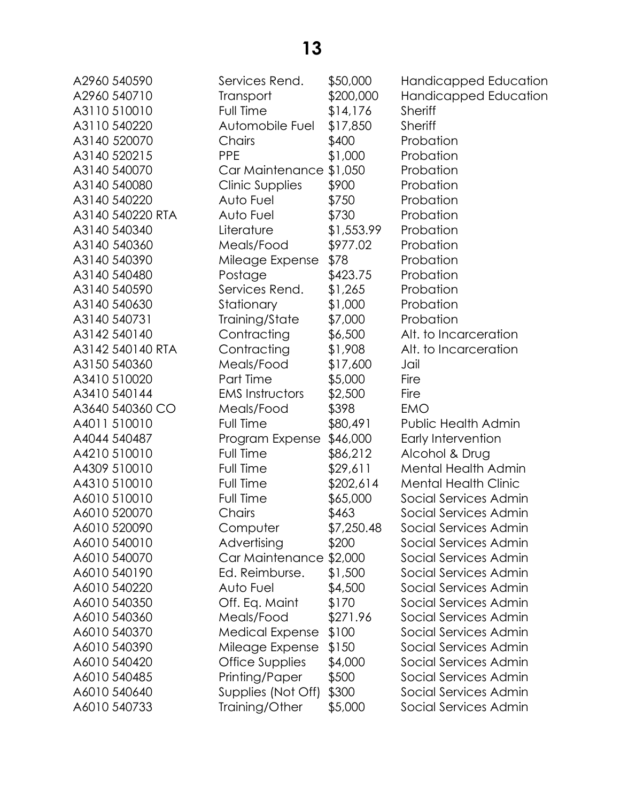| AZ70U J4UJ7U     | Ç                        |
|------------------|--------------------------|
| A2960 540710     | T                        |
| A3110 510010     | F                        |
| A3110 540220     | $\overline{\phantom{a}}$ |
| A3140 520070     | $\zeta$                  |
| A3140 520215     | F                        |
| A3140 540070     | C                        |
| A3140 540080     | C                        |
| A3140 540220     | $\overline{1}$           |
| A3140 540220 RTA | $\overline{1}$           |
| A3140 540340     | L                        |
| A3140 540360     | Ņ                        |
| A3140 540390     | Ņ                        |
| A3140 540480     | F                        |
| A3140 540590     | S                        |
| A3140 540630     | S                        |
| A3140 540731     | Ī                        |
| A3142 540140     | $\zeta$                  |
| A3142 540140 RTA | $\zeta$                  |
| A3150 540360     | Ņ                        |
| A3410 510020     | F                        |
| A3410 540144     | E                        |
| A3640 540360 CO  | Ņ                        |
| A4011 510010     | F                        |
| A4044 540487     | F                        |
| A4210 510010     | F                        |
| A4309 510010     | F                        |
| A4310 510010     | F                        |
| A6010 510010     | F                        |
| A6010 520070     | C                        |
| A6010 520090     | $\overline{\mathcal{C}}$ |
| A6010 540010     | I                        |
| A6010 540070     | (                        |
| A6010 540190     | E                        |
| A6010 540220     | 7                        |
| A6010 540350     | (                        |
| A6010 540360     | Λ                        |
| A6010 540370     |                          |
| A6010 540390     | Λ                        |
|                  | Λ                        |
| A6010 540420     | (                        |
| A6010 540485     | F                        |
| A6010 540640     | S                        |
| A6010 540733     | T                        |

| AZYOU J4UJYU     | JEIVICES KEHU.          | νυυ,υσφ    | <b>HUTIQICAPPEA EQUCATION</b> |
|------------------|-------------------------|------------|-------------------------------|
| A2960 540710     | <b>Transport</b>        | \$200,000  | Handicapped Education         |
| A3110 510010     | Full Time               | \$14,176   | <b>Sheriff</b>                |
| A3110 540220     | Automobile Fuel         | \$17,850   | <b>Sheriff</b>                |
| A3140 520070     | Chairs                  | \$400      | Probation                     |
| A3140 520215     | <b>PPE</b>              | \$1,000    | Probation                     |
| A3140 540070     | Car Maintenance \$1,050 |            | Probation                     |
| A3140 540080     | <b>Clinic Supplies</b>  | \$900      | Probation                     |
| A3140 540220     | Auto Fuel               | \$750      | Probation                     |
| A3140 540220 RTA | Auto Fuel               | \$730      | Probation                     |
| A3140 540340     | Literature              | \$1,553.99 | Probation                     |
| A3140 540360     | Meals/Food              | \$977.02   | Probation                     |
| A3140 540390     | Mileage Expense         | \$78       | Probation                     |
| A3140 540480     | Postage                 | \$423.75   | Probation                     |
| A3140 540590     | Services Rend.          | \$1,265    | Probation                     |
| A3140 540630     | Stationary              | \$1,000    | Probation                     |
| A3140 540731     | Training/State          | \$7,000    | Probation                     |
| A3142 540140     | Contracting             | \$6,500    | Alt. to Incarceration         |
| A3142 540140 RTA | Contracting             | \$1,908    | Alt. to Incarceration         |
| A3150 540360     | Meals/Food              | \$17,600   | Jail                          |
| A3410 510020     | Part Time               | \$5,000    | Fire                          |
| A3410 540144     | <b>EMS Instructors</b>  | \$2,500    | Fire                          |
| A3640 540360 CO  | Meals/Food              | \$398      | <b>EMO</b>                    |
| A4011 510010     | Full Time               | \$80,491   | Public Health Admin           |
| A4044 540487     | Program Expense         | \$46,000   | Early Intervention            |
| A4210 510010     | Full Time               | \$86,212   | Alcohol & Drug                |
| A4309 510010     | Full Time               | \$29,611   | Mental Health Admin           |
| A4310 510010     | Full Time               | \$202,614  | <b>Mental Health Clinic</b>   |
| A6010 510010     | Full Time               | \$65,000   | Social Services Admin         |
| A6010 520070     | Chairs                  | \$463      | Social Services Admin         |
| A6010 520090     | Computer                | \$7,250.48 | Social Services Admin         |
| A6010 540010     | Advertising             | \$200      | Social Services Admin         |
| A6010 540070     | Car Maintenance \$2,000 |            | Social Services Admin         |
| A6010 540190     | Ed. Reimburse.          | \$1,500    | Social Services Admin         |
| A6010 540220     | Auto Fuel               | \$4,500    | Social Services Admin         |
| A6010 540350     | Off. Eq. Maint          | \$170      | Social Services Admin         |
| A6010 540360     | Meals/Food              | \$271.96   | Social Services Admin         |
| A6010 540370     | <b>Medical Expense</b>  | \$100      | Social Services Admin         |
| A6010 540390     | Mileage Expense         | \$150      | Social Services Admin         |
| A6010 540420     | Office Supplies         | \$4,000    | Social Services Admin         |
| A6010 540485     | Printing/Paper          | \$500      | Social Services Admin         |
| A6010 540640     | Supplies (Not Off)      | \$300      | Social Services Admin         |
| A6010 540733     | Training/Other          | \$5,000    | Social Services Admin         |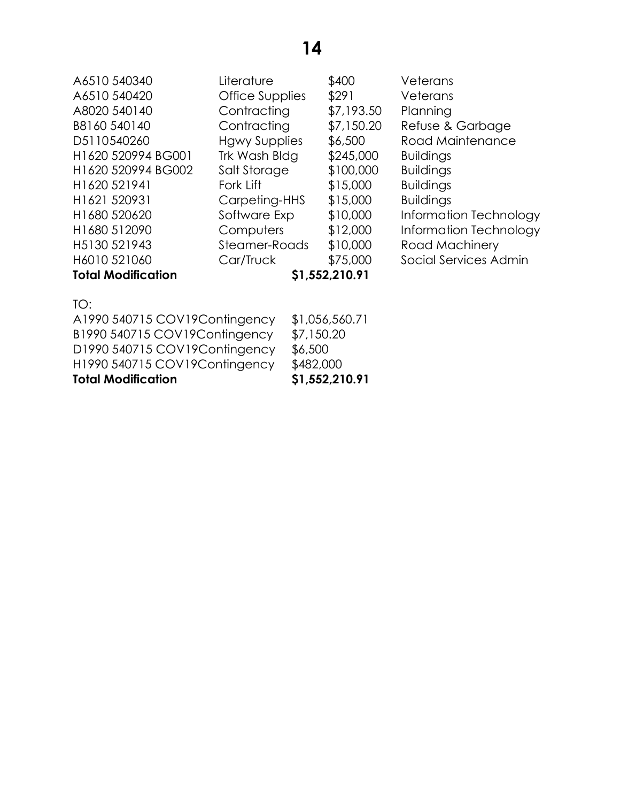| A6510 540340              | Literature             | \$400          | Veterans               |
|---------------------------|------------------------|----------------|------------------------|
| A6510 540420              | <b>Office Supplies</b> | \$291          | Veterans               |
| A8020 540140              | Contracting            | \$7,193.50     | Planning               |
| B8160 540140              | Contracting            | \$7,150.20     | Refuse & Garbage       |
| D5110540260               | <b>Hgwy Supplies</b>   | \$6,500        | Road Maintenance       |
| H1620 520994 BG001        | Trk Wash Bldg          | \$245,000      | <b>Buildings</b>       |
| H1620 520994 BG002        | Salt Storage           | \$100,000      | <b>Buildings</b>       |
| H1620 521941              | Fork Lift              | \$15,000       | <b>Buildings</b>       |
| H <sub>1621</sub> 520931  | Carpeting-HHS          | \$15,000       | <b>Buildings</b>       |
| H1680 520620              | Software Exp           | \$10,000       | Information Technology |
| H1680 512090              | Computers              | \$12,000       | Information Technology |
| H5130 521943              | Steamer-Roads          | \$10,000       | Road Machinery         |
| H6010 521060              | Car/Truck              | \$75,000       | Social Services Admin  |
| <b>Total Modification</b> |                        | \$1,552,210.91 |                        |
|                           |                        |                |                        |

| TO:                  |  |
|----------------------|--|
| $\triangle$ 1990 540 |  |

| <b>Total Modification</b>      | \$1,552,210.91 |
|--------------------------------|----------------|
| H1990 540715 COV19 Contingency | \$482,000      |
| D1990 540715 COV19 Contingency | \$6,500        |
| B1990 540715 COV19 Contingency | \$7,150.20     |
| A1990 540715 COV19 Contingency | \$1,056,560.71 |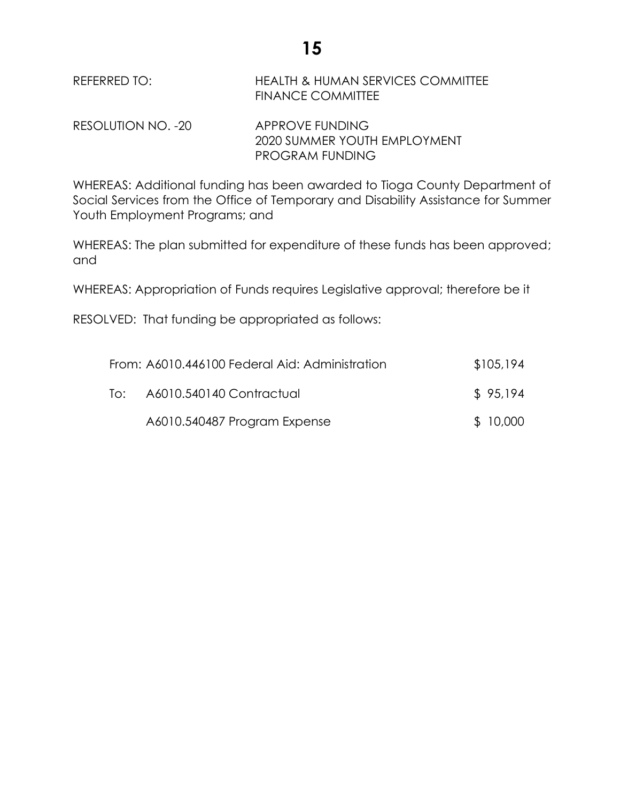**15**

#### REFERRED TO: HEALTH & HUMAN SERVICES COMMITTEE FINANCE COMMITTEE

RESOLUTION NO. -20 APPROVE FUNDING 2020 SUMMER YOUTH EMPLOYMENT PROGRAM FUNDING

WHEREAS: Additional funding has been awarded to Tioga County Department of Social Services from the Office of Temporary and Disability Assistance for Summer Youth Employment Programs; and

WHEREAS: The plan submitted for expenditure of these funds has been approved; and

WHEREAS: Appropriation of Funds requires Legislative approval; therefore be it

RESOLVED: That funding be appropriated as follows:

|     | From: A6010.446100 Federal Aid: Administration | \$105,194 |
|-----|------------------------------------------------|-----------|
| To: | A6010.540140 Contractual                       | \$95,194  |
|     | A6010.540487 Program Expense                   | \$10,000  |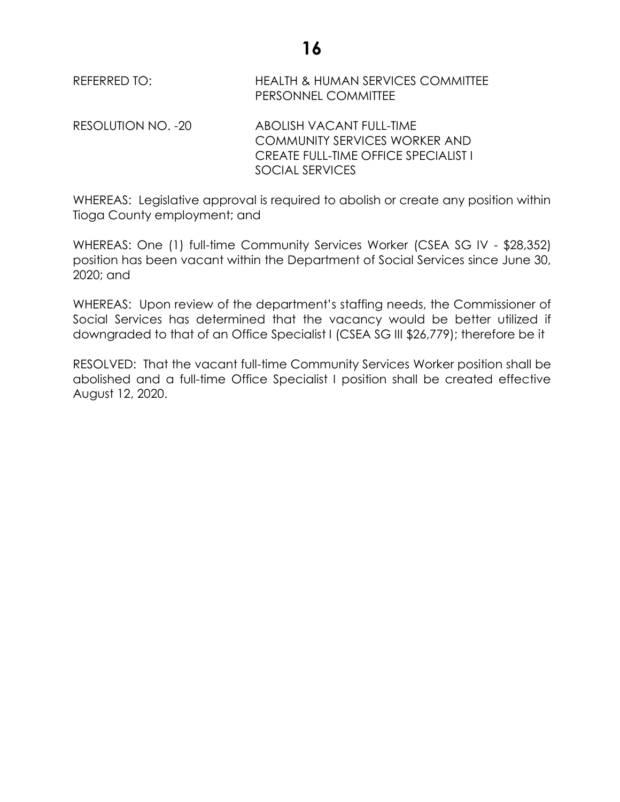**16**

REFERRED TO: HEALTH & HUMAN SERVICES COMMITTEE PERSONNEL COMMITTEE

RESOLUTION NO. -20 ABOLISH VACANT FULL-TIME COMMUNITY SERVICES WORKER AND CREATE FULL-TIME OFFICE SPECIALIST I SOCIAL SERVICES

WHEREAS: Legislative approval is required to abolish or create any position within Tioga County employment; and

WHEREAS: One (1) full-time Community Services Worker (CSEA SG IV - \$28,352) position has been vacant within the Department of Social Services since June 30, 2020; and

WHEREAS: Upon review of the department's staffing needs, the Commissioner of Social Services has determined that the vacancy would be better utilized if downgraded to that of an Office Specialist I (CSEA SG III \$26,779); therefore be it

RESOLVED: That the vacant full-time Community Services Worker position shall be abolished and a full-time Office Specialist I position shall be created effective August 12, 2020.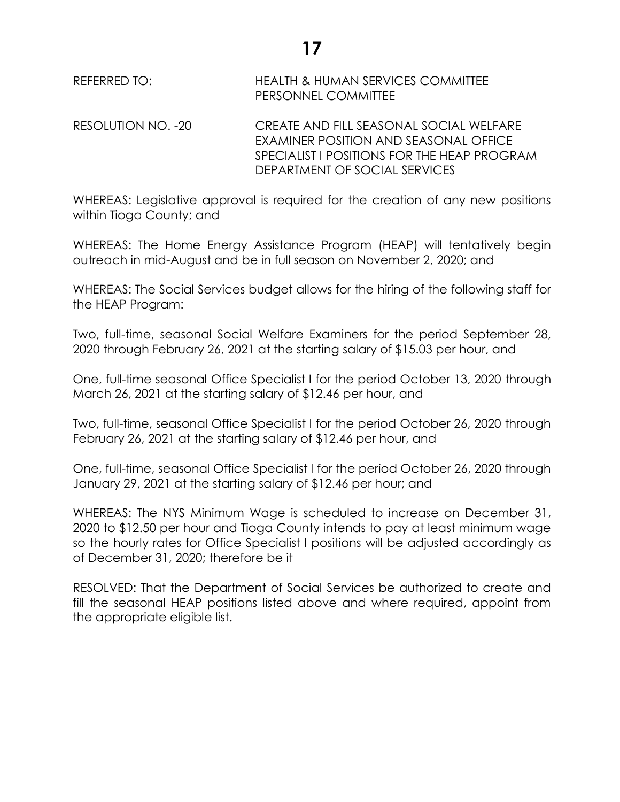| REFERRED TO: | <b>HEALTH &amp; HUMAN SERVICES COMMITTEE</b> |  |  |
|--------------|----------------------------------------------|--|--|
|              | <b>PERSONNEL COMMITTEE</b>                   |  |  |

RESOLUTION NO. -20 CREATE AND FILL SEASONAL SOCIAL WELFARE EXAMINER POSITION AND SEASONAL OFFICE SPECIALIST I POSITIONS FOR THE HEAP PROGRAM DEPARTMENT OF SOCIAL SERVICES

WHEREAS: Legislative approval is required for the creation of any new positions within Tioga County; and

WHEREAS: The Home Energy Assistance Program (HEAP) will tentatively begin outreach in mid-August and be in full season on November 2, 2020; and

WHEREAS: The Social Services budget allows for the hiring of the following staff for the HEAP Program:

Two, full-time, seasonal Social Welfare Examiners for the period September 28, 2020 through February 26, 2021 at the starting salary of \$15.03 per hour, and

One, full-time seasonal Office Specialist I for the period October 13, 2020 through March 26, 2021 at the starting salary of \$12.46 per hour, and

Two, full-time, seasonal Office Specialist I for the period October 26, 2020 through February 26, 2021 at the starting salary of \$12.46 per hour, and

One, full-time, seasonal Office Specialist I for the period October 26, 2020 through January 29, 2021 at the starting salary of \$12.46 per hour; and

WHEREAS: The NYS Minimum Wage is scheduled to increase on December 31, 2020 to \$12.50 per hour and Tioga County intends to pay at least minimum wage so the hourly rates for Office Specialist I positions will be adjusted accordingly as of December 31, 2020; therefore be it

RESOLVED: That the Department of Social Services be authorized to create and fill the seasonal HEAP positions listed above and where required, appoint from the appropriate eligible list.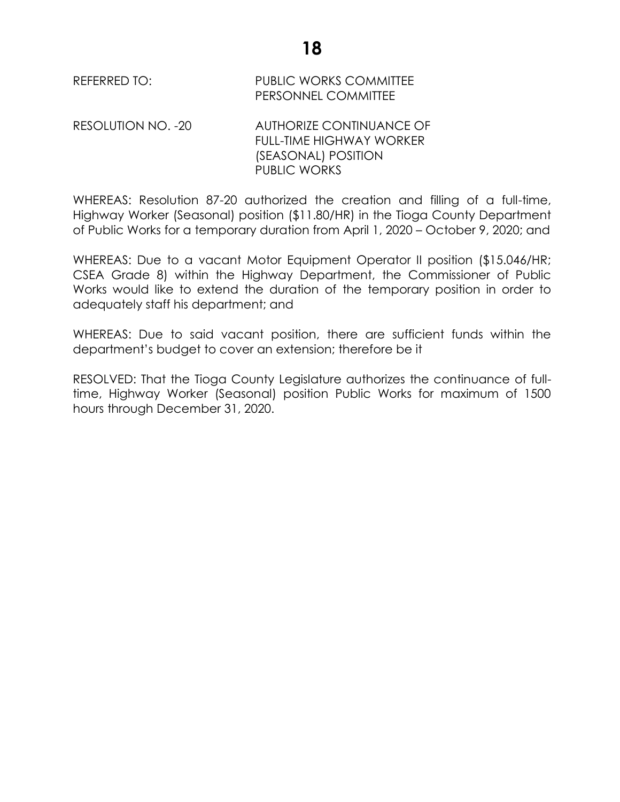REFERRED TO: PUBLIC WORKS COMMITTEE PERSONNEL COMMITTEE

RESOLUTION NO. -20 AUTHORIZE CONTINUANCE OF FULL-TIME HIGHWAY WORKER (SEASONAL) POSITION PUBLIC WORKS

WHEREAS: Resolution 87-20 authorized the creation and filling of a full-time, Highway Worker (Seasonal) position (\$11.80/HR) in the Tioga County Department of Public Works for a temporary duration from April 1, 2020 – October 9, 2020; and

WHEREAS: Due to a vacant Motor Equipment Operator II position (\$15.046/HR; CSEA Grade 8) within the Highway Department, the Commissioner of Public Works would like to extend the duration of the temporary position in order to adequately staff his department; and

WHEREAS: Due to said vacant position, there are sufficient funds within the department's budget to cover an extension; therefore be it

RESOLVED: That the Tioga County Legislature authorizes the continuance of fulltime, Highway Worker (Seasonal) position Public Works for maximum of 1500 hours through December 31, 2020.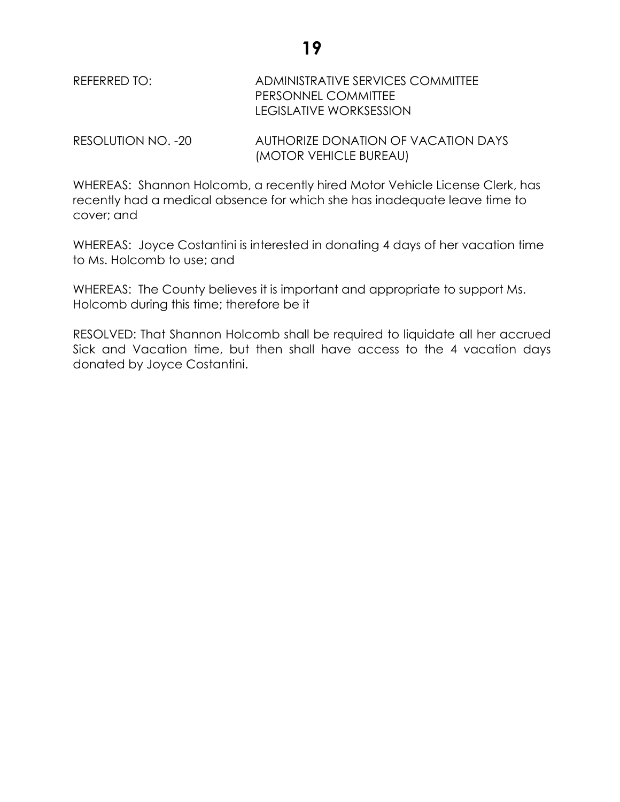# REFERRED TO: ADMINISTRATIVE SERVICES COMMITTEE PERSONNEL COMMITTEE LEGISLATIVE WORKSESSION

RESOLUTION NO. -20 AUTHORIZE DONATION OF VACATION DAYS (MOTOR VEHICLE BUREAU)

WHEREAS: Shannon Holcomb, a recently hired Motor Vehicle License Clerk, has recently had a medical absence for which she has inadequate leave time to cover; and

WHEREAS: Joyce Costantini is interested in donating 4 days of her vacation time to Ms. Holcomb to use; and

WHEREAS: The County believes it is important and appropriate to support Ms. Holcomb during this time; therefore be it

RESOLVED: That Shannon Holcomb shall be required to liquidate all her accrued Sick and Vacation time, but then shall have access to the 4 vacation days donated by Joyce Costantini.